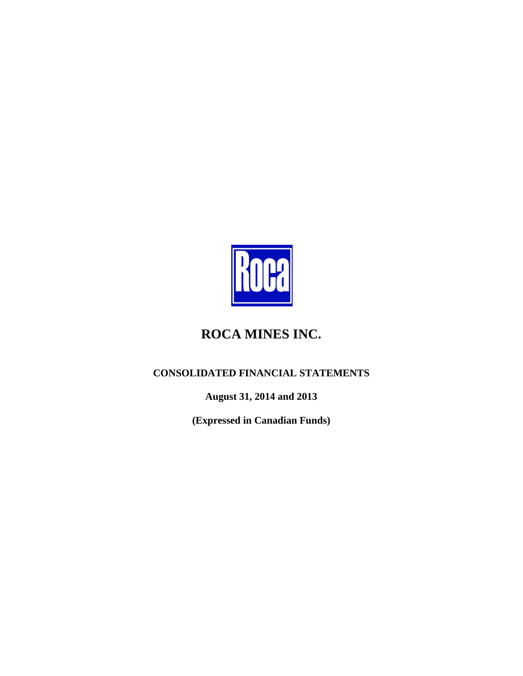

# **ROCA MINES INC.**

## **CONSOLIDATED FINANCIAL STATEMENTS**

**August 31, 2014 and 2013**

**(Expressed in Canadian Funds)**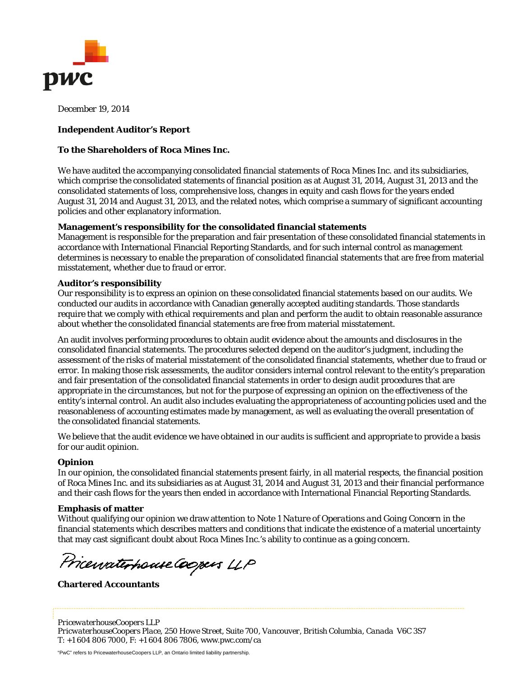

December 19, 2014

## **Independent Auditor's Report**

## **To the Shareholders of Roca Mines Inc.**

We have audited the accompanying consolidated financial statements of Roca Mines Inc. and its subsidiaries, which comprise the consolidated statements of financial position as at August 31, 2014, August 31, 2013 and the consolidated statements of loss, comprehensive loss, changes in equity and cash flows for the years ended August 31, 2014 and August 31, 2013, and the related notes, which comprise a summary of significant accounting policies and other explanatory information.

## **Management's responsibility for the consolidated financial statements**

Management is responsible for the preparation and fair presentation of these consolidated financial statements in accordance with International Financial Reporting Standards, and for such internal control as management determines is necessary to enable the preparation of consolidated financial statements that are free from material misstatement, whether due to fraud or error.

## **Auditor's responsibility**

Our responsibility is to express an opinion on these consolidated financial statements based on our audits. We conducted our audits in accordance with Canadian generally accepted auditing standards. Those standards require that we comply with ethical requirements and plan and perform the audit to obtain reasonable assurance about whether the consolidated financial statements are free from material misstatement.

An audit involves performing procedures to obtain audit evidence about the amounts and disclosures in the consolidated financial statements. The procedures selected depend on the auditor's judgment, including the assessment of the risks of material misstatement of the consolidated financial statements, whether due to fraud or error. In making those risk assessments, the auditor considers internal control relevant to the entity's preparation and fair presentation of the consolidated financial statements in order to design audit procedures that are appropriate in the circumstances, but not for the purpose of expressing an opinion on the effectiveness of the entity's internal control. An audit also includes evaluating the appropriateness of accounting policies used and the reasonableness of accounting estimates made by management, as well as evaluating the overall presentation of the consolidated financial statements.

We believe that the audit evidence we have obtained in our audits is sufficient and appropriate to provide a basis for our audit opinion.

## **Opinion**

In our opinion, the consolidated financial statements present fairly, in all material respects, the financial position of Roca Mines Inc. and its subsidiaries as at August 31, 2014 and August 31, 2013 and their financial performance and their cash flows for the years then ended in accordance with International Financial Reporting Standards.

## **Emphasis of matter**

Without qualifying our opinion we draw attention to Note 1 *Nature of Operations and Going Concern* in the financial statements which describes matters and conditions that indicate the existence of a material uncertainty that may cast significant doubt about Roca Mines Inc.'s ability to continue as a going concern.

Pricewaterhouse Coopers LLP

**Chartered Accountants**

*PricewaterhouseCoopers LLP PricwaterhouseCoopers Place, 250 Howe Street, Suite 700, Vancouver, British Columbia, Canada V6C 3S7* T:  $+16048067000$ , F:  $+16048067806$ , www.pwc.com/ca

"PwC" refers to PricewaterhouseCoopers LLP, an Ontario limited liability partnership.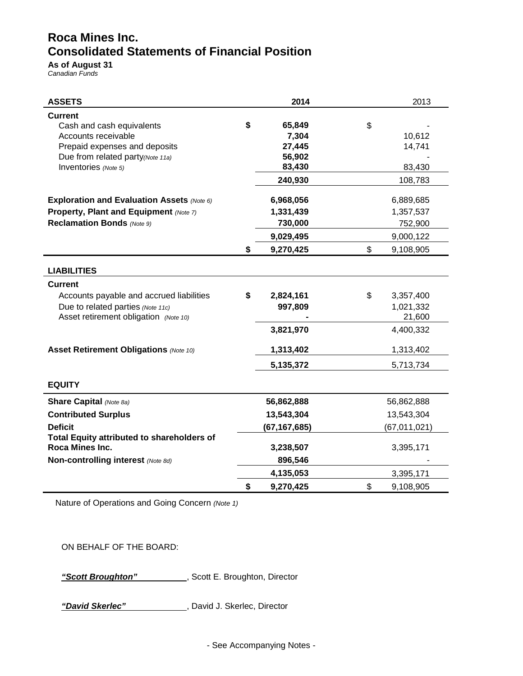## **Roca Mines Inc. Consolidated Statements of Financial Position**

#### **As of August 31** *Canadian Funds*

| <b>ASSETS</b>                                                        | 2014            | 2013            |
|----------------------------------------------------------------------|-----------------|-----------------|
| <b>Current</b><br>Cash and cash equivalents                          | \$<br>65,849    | \$              |
| Accounts receivable                                                  | 7,304           | 10,612          |
| Prepaid expenses and deposits                                        | 27,445          | 14,741          |
| Due from related party (Note 11a)                                    | 56,902          |                 |
| Inventories (Note 5)                                                 | 83,430          | 83,430          |
|                                                                      | 240,930         | 108,783         |
| Exploration and Evaluation Assets (Note 6)                           | 6,968,056       | 6,889,685       |
| Property, Plant and Equipment (Note 7)                               | 1,331,439       | 1,357,537       |
| <b>Reclamation Bonds (Note 9)</b>                                    | 730,000         | 752,900         |
|                                                                      | 9,029,495       | 9,000,122       |
|                                                                      | \$<br>9,270,425 | \$<br>9,108,905 |
| <b>LIABILITIES</b>                                                   |                 |                 |
| <b>Current</b>                                                       |                 |                 |
| Accounts payable and accrued liabilities                             | \$<br>2,824,161 | \$<br>3,357,400 |
| Due to related parties (Note 11c)                                    | 997,809         | 1,021,332       |
| Asset retirement obligation (Note 10)                                |                 | 21,600          |
|                                                                      | 3,821,970       | 4,400,332       |
| <b>Asset Retirement Obligations (Note 10)</b>                        | 1,313,402       | 1,313,402       |
|                                                                      | 5,135,372       | 5,713,734       |
| <b>EQUITY</b>                                                        |                 |                 |
| <b>Share Capital (Note 8a)</b>                                       | 56,862,888      | 56,862,888      |
| <b>Contributed Surplus</b>                                           | 13,543,304      | 13,543,304      |
| <b>Deficit</b>                                                       | (67, 167, 685)  | (67, 011, 021)  |
| <b>Total Equity attributed to shareholders of</b><br>Roca Mines Inc. | 3,238,507       | 3,395,171       |
| Non-controlling interest (Note 8d)                                   | 896,546         |                 |
|                                                                      | 4,135,053       | 3,395,171       |
|                                                                      | \$<br>9,270,425 | \$<br>9,108,905 |

Nature of Operations and Going Concern *(Note 1)*

ON BEHALF OF THE BOARD:

*"Scott Broughton"* , Scott E. Broughton, Director

*"David Skerlec"* , David J. Skerlec, Director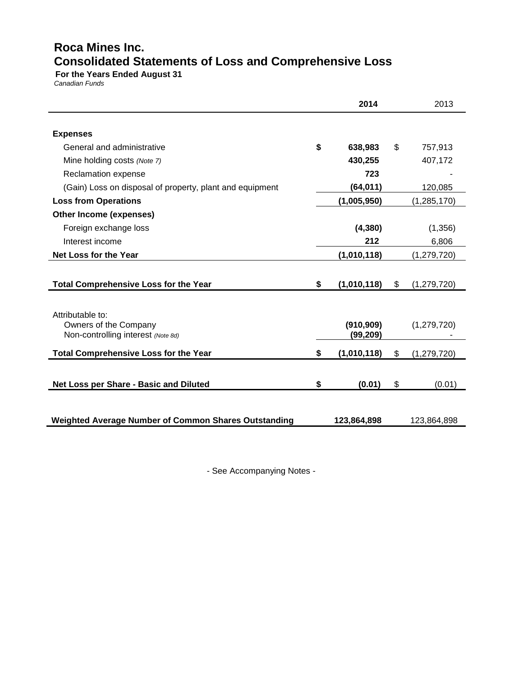## **Roca Mines Inc. Consolidated Statements of Loss and Comprehensive Loss**

**For the Years Ended August 31**

*Canadian Funds*

|                                                          | 2014              | 2013                |
|----------------------------------------------------------|-------------------|---------------------|
|                                                          |                   |                     |
| <b>Expenses</b>                                          |                   |                     |
| General and administrative                               | \$<br>638,983     | \$<br>757,913       |
| Mine holding costs (Note 7)                              | 430,255           | 407,172             |
| <b>Reclamation expense</b>                               | 723               |                     |
| (Gain) Loss on disposal of property, plant and equipment | (64, 011)         | 120,085             |
| <b>Loss from Operations</b>                              | (1,005,950)       | (1, 285, 170)       |
| <b>Other Income (expenses)</b>                           |                   |                     |
| Foreign exchange loss                                    | (4, 380)          | (1,356)             |
| Interest income                                          | 212               | 6,806               |
| <b>Net Loss for the Year</b>                             | (1,010,118)       | (1, 279, 720)       |
|                                                          |                   |                     |
| <b>Total Comprehensive Loss for the Year</b>             | \$<br>(1,010,118) | \$<br>(1,279,720)   |
|                                                          |                   |                     |
| Attributable to:                                         |                   |                     |
| Owners of the Company                                    | (910, 909)        | (1,279,720)         |
| Non-controlling interest (Note 8d)                       | (99, 209)         |                     |
| <b>Total Comprehensive Loss for the Year</b>             | \$<br>(1,010,118) | \$<br>(1, 279, 720) |
|                                                          |                   |                     |
| Net Loss per Share - Basic and Diluted                   | \$<br>(0.01)      | \$<br>(0.01)        |
|                                                          |                   |                     |
|                                                          |                   |                     |
| Weighted Average Number of Common Shares Outstanding     | 123,864,898       | 123,864,898         |

- See Accompanying Notes -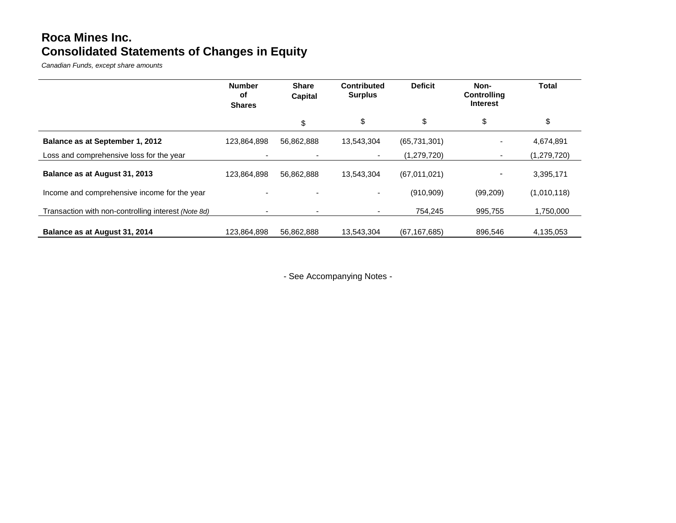## **Roca Mines Inc. Consolidated Statements of Changes in Equity**

*Canadian Funds, except share amounts*

|                                                     | <b>Number</b><br><b>of</b><br><b>Shares</b> | <b>Share</b><br><b>Capital</b> | <b>Contributed</b><br><b>Surplus</b> | <b>Deficit</b> | Non-<br><b>Controlling</b><br><b>Interest</b> | <b>Total</b> |
|-----------------------------------------------------|---------------------------------------------|--------------------------------|--------------------------------------|----------------|-----------------------------------------------|--------------|
|                                                     |                                             | \$                             | \$                                   | \$             | \$                                            | \$           |
| Balance as at September 1, 2012                     | 123,864,898                                 | 56,862,888                     | 13,543,304                           | (65, 731, 301) |                                               | 4,674,891    |
| Loss and comprehensive loss for the year            |                                             | ٠                              |                                      | (1,279,720)    | $\overline{\phantom{a}}$                      | (1,279,720)  |
| Balance as at August 31, 2013                       | 123,864,898                                 | 56,862,888                     | 13,543,304                           | (67,011,021)   |                                               | 3,395,171    |
| Income and comprehensive income for the year        |                                             |                                |                                      | (910, 909)     | (99, 209)                                     | (1,010,118)  |
| Transaction with non-controlling interest (Note 8d) | ۰                                           |                                |                                      | 754.245        | 995.755                                       | 1,750,000    |
| Balance as at August 31, 2014                       | 123,864,898                                 | 56.862.888                     | 13,543,304                           | (67, 167, 685) | 896.546                                       | 4,135,053    |

- See Accompanying Notes -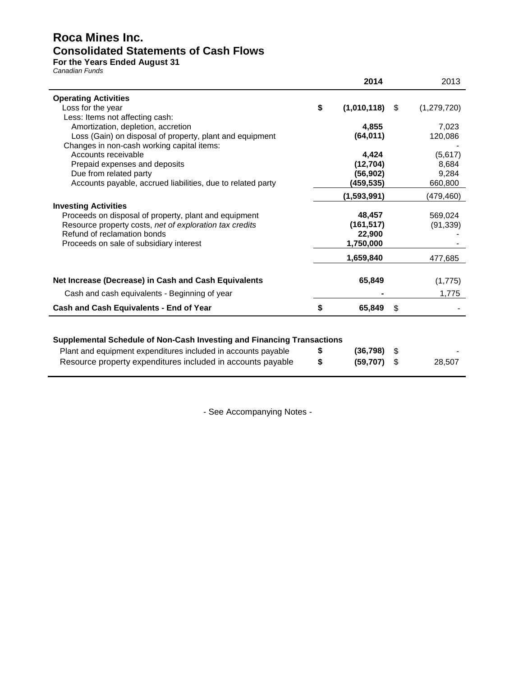## **Roca Mines Inc. Consolidated Statements of Cash Flows**

**For the Years Ended August 31** *Canadian Funds*

**2014** 2013 **Operating Activities** Loss for the year **\$ (1,010,118)** \$ (1,279,720) Less: Items not affecting cash: Amortization, depletion, accretion<br>
Loss (Gain) on disposal of property, plant and equipment **4,855 4,011 120,086** Loss (Gain) on disposal of property, plant and equipment Changes in non-cash working capital items:<br>
Accounts receivable (5,617) Accounts receivable Prepaid expenses and deposits **(12,704)** 8,684<br>
Due from related party 8,284<br>
9,284 **Due from related party** Accounts payable, accrued liabilities, due to related party **(459,535)** 660,800 **(1,593,991)** (479,460) **Investing Activities** Proceeds on disposal of property, plant and equipment **48,457** 569,024 Resource property costs, *net of exploration tax credits* **(161,517)** (91,339) Refund of reclamation bonds **22,900** - **22,900** - **22,900** Proceeds on sale of subsidiary interest **1,750,000** - 1,750,000 **1,659,840** 477,685 **Net Increase (Decrease) in Cash and Cash Equivalents 65,849** (1,775) Cash and cash equivalents - Beginning of year **1,775 Cash and Cash Equivalents - End of Year \$ 65,849** \$ - **Supplemental Schedule of Non-Cash Investing and Financing Transactions** Plant and equipment expenditures included in accounts payable **\$ (36,798)** \$ - Resource property expenditures included in accounts payable **\$ (59,707)** \$ 28,507

- See Accompanying Notes -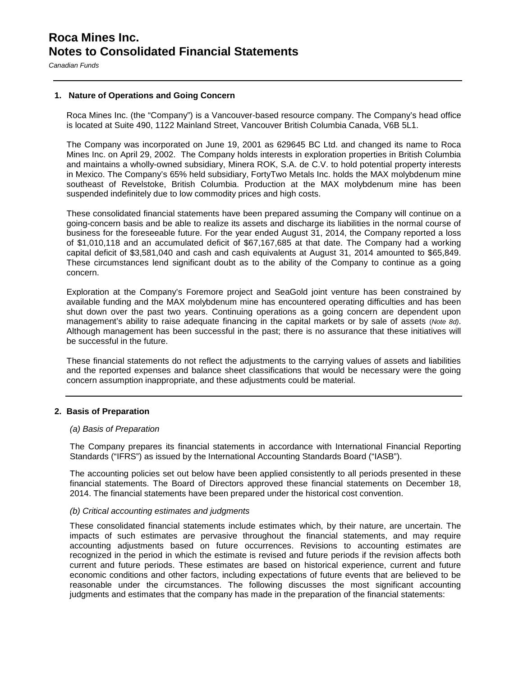*Canadian Funds*

#### **1. Nature of Operations and Going Concern**

Roca Mines Inc. (the "Company") is a Vancouver-based resource company. The Company's head office is located at Suite 490, 1122 Mainland Street, Vancouver British Columbia Canada, V6B 5L1.

The Company was incorporated on June 19, 2001 as 629645 BC Ltd. and changed its name to Roca Mines Inc. on April 29, 2002. The Company holds interests in exploration properties in British Columbia and maintains a wholly-owned subsidiary, Minera ROK, S.A. de C.V. to hold potential property interests in Mexico. The Company's 65% held subsidiary, FortyTwo Metals Inc. holds the MAX molybdenum mine southeast of Revelstoke, British Columbia. Production at the MAX molybdenum mine has been suspended indefinitely due to low commodity prices and high costs.

These consolidated financial statements have been prepared assuming the Company will continue on a going-concern basis and be able to realize its assets and discharge its liabilities in the normal course of business for the foreseeable future. For the year ended August 31, 2014, the Company reported a loss of \$1,010,118 and an accumulated deficit of \$67,167,685 at that date. The Company had a working capital deficit of \$3,581,040 and cash and cash equivalents at August 31, 2014 amounted to \$65,849. These circumstances lend significant doubt as to the ability of the Company to continue as a going concern.

Exploration at the Company's Foremore project and SeaGold joint venture has been constrained by available funding and the MAX molybdenum mine has encountered operating difficulties and has been shut down over the past two years. Continuing operations as a going concern are dependent upon management's ability to raise adequate financing in the capital markets or by sale of assets (*Note 8d)*. Although management has been successful in the past; there is no assurance that these initiatives will be successful in the future.

These financial statements do not reflect the adjustments to the carrying values of assets and liabilities and the reported expenses and balance sheet classifications that would be necessary were the going concern assumption inappropriate, and these adjustments could be material.

#### **2. Basis of Preparation**

#### *(a) Basis of Preparation*

The Company prepares its financial statements in accordance with International Financial Reporting Standards ("IFRS") as issued by the International Accounting Standards Board ("IASB").

The accounting policies set out below have been applied consistently to all periods presented in these financial statements. The Board of Directors approved these financial statements on December 18, 2014. The financial statements have been prepared under the historical cost convention.

#### *(b) Critical accounting estimates and judgments*

These consolidated financial statements include estimates which, by their nature, are uncertain. The impacts of such estimates are pervasive throughout the financial statements, and may require accounting adjustments based on future occurrences. Revisions to accounting estimates are recognized in the period in which the estimate is revised and future periods if the revision affects both current and future periods. These estimates are based on historical experience, current and future economic conditions and other factors, including expectations of future events that are believed to be reasonable under the circumstances. The following discusses the most significant accounting judgments and estimates that the company has made in the preparation of the financial statements: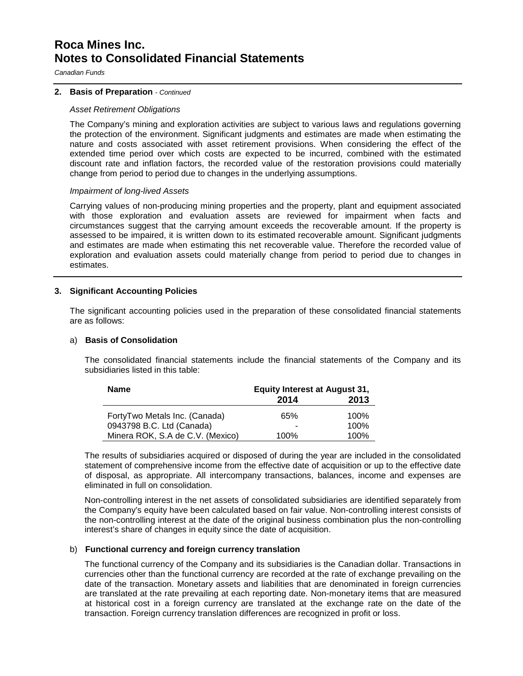*Canadian Funds*

### **2. Basis of Preparation** - *Continued*

#### *Asset Retirement Obligations*

The Company's mining and exploration activities are subject to various laws and regulations governing the protection of the environment. Significant judgments and estimates are made when estimating the nature and costs associated with asset retirement provisions. When considering the effect of the extended time period over which costs are expected to be incurred, combined with the estimated discount rate and inflation factors, the recorded value of the restoration provisions could materially change from period to period due to changes in the underlying assumptions.

### *Impairment of long-lived Assets*

Carrying values of non-producing mining properties and the property, plant and equipment associated with those exploration and evaluation assets are reviewed for impairment when facts and circumstances suggest that the carrying amount exceeds the recoverable amount. If the property is assessed to be impaired, it is written down to its estimated recoverable amount. Significant judgments and estimates are made when estimating this net recoverable value. Therefore the recorded value of exploration and evaluation assets could materially change from period to period due to changes in estimates.

## **3. Significant Accounting Policies**

The significant accounting policies used in the preparation of these consolidated financial statements are as follows:

## a) **Basis of Consolidation**

The consolidated financial statements include the financial statements of the Company and its subsidiaries listed in this table:

| <b>Name</b>                      | <b>Equity Interest at August 31,</b> |      |  |  |  |  |
|----------------------------------|--------------------------------------|------|--|--|--|--|
|                                  | 2014                                 | 2013 |  |  |  |  |
| FortyTwo Metals Inc. (Canada)    | 65%                                  | 100% |  |  |  |  |
| 0943798 B.C. Ltd (Canada)        | ٠                                    | 100% |  |  |  |  |
| Minera ROK, S.A de C.V. (Mexico) | 100%                                 | 100% |  |  |  |  |

The results of subsidiaries acquired or disposed of during the year are included in the consolidated statement of comprehensive income from the effective date of acquisition or up to the effective date of disposal, as appropriate. All intercompany transactions, balances, income and expenses are eliminated in full on consolidation.

Non-controlling interest in the net assets of consolidated subsidiaries are identified separately from the Company's equity have been calculated based on fair value. Non-controlling interest consists of the non-controlling interest at the date of the original business combination plus the non-controlling interest's share of changes in equity since the date of acquisition.

## b) **Functional currency and foreign currency translation**

The functional currency of the Company and its subsidiaries is the Canadian dollar. Transactions in currencies other than the functional currency are recorded at the rate of exchange prevailing on the date of the transaction. Monetary assets and liabilities that are denominated in foreign currencies are translated at the rate prevailing at each reporting date. Non-monetary items that are measured at historical cost in a foreign currency are translated at the exchange rate on the date of the transaction. Foreign currency translation differences are recognized in profit or loss.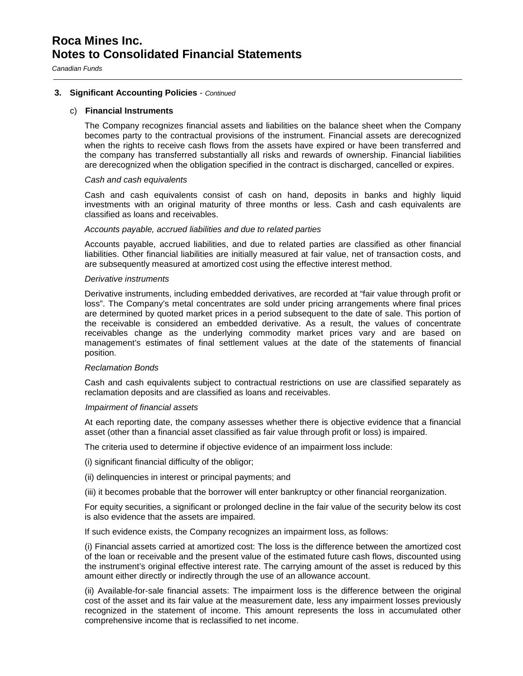*Canadian Funds*

#### **3. Significant Accounting Policies** - *Continued*

#### c) **Financial Instruments**

The Company recognizes financial assets and liabilities on the balance sheet when the Company becomes party to the contractual provisions of the instrument. Financial assets are derecognized when the rights to receive cash flows from the assets have expired or have been transferred and the company has transferred substantially all risks and rewards of ownership. Financial liabilities are derecognized when the obligation specified in the contract is discharged, cancelled or expires.

#### *Cash and cash equivalents*

Cash and cash equivalents consist of cash on hand, deposits in banks and highly liquid investments with an original maturity of three months or less. Cash and cash equivalents are classified as loans and receivables.

#### *Accounts payable, accrued liabilities and due to related parties*

Accounts payable, accrued liabilities, and due to related parties are classified as other financial liabilities. Other financial liabilities are initially measured at fair value, net of transaction costs, and are subsequently measured at amortized cost using the effective interest method.

#### *Derivative instruments*

Derivative instruments, including embedded derivatives, are recorded at "fair value through profit or loss". The Company's metal concentrates are sold under pricing arrangements where final prices are determined by quoted market prices in a period subsequent to the date of sale. This portion of the receivable is considered an embedded derivative. As a result, the values of concentrate receivables change as the underlying commodity market prices vary and are based on management's estimates of final settlement values at the date of the statements of financial position.

#### *Reclamation Bonds*

Cash and cash equivalents subject to contractual restrictions on use are classified separately as reclamation deposits and are classified as loans and receivables.

#### *Impairment of financial assets*

At each reporting date, the company assesses whether there is objective evidence that a financial asset (other than a financial asset classified as fair value through profit or loss) is impaired.

The criteria used to determine if objective evidence of an impairment loss include:

(i) significant financial difficulty of the obligor;

- (ii) delinquencies in interest or principal payments; and
- (iii) it becomes probable that the borrower will enter bankruptcy or other financial reorganization.

For equity securities, a significant or prolonged decline in the fair value of the security below its cost is also evidence that the assets are impaired.

If such evidence exists, the Company recognizes an impairment loss, as follows:

(i) Financial assets carried at amortized cost: The loss is the difference between the amortized cost of the loan or receivable and the present value of the estimated future cash flows, discounted using the instrument's original effective interest rate. The carrying amount of the asset is reduced by this amount either directly or indirectly through the use of an allowance account.

(ii) Available-for-sale financial assets: The impairment loss is the difference between the original cost of the asset and its fair value at the measurement date, less any impairment losses previously recognized in the statement of income. This amount represents the loss in accumulated other comprehensive income that is reclassified to net income.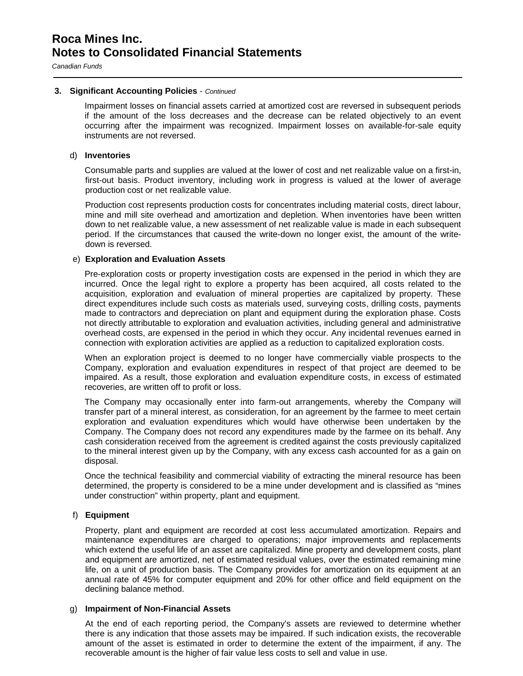*Canadian Funds*

#### **3. Significant Accounting Policies** - *Continued*

Impairment losses on financial assets carried at amortized cost are reversed in subsequent periods if the amount of the loss decreases and the decrease can be related objectively to an event occurring after the impairment was recognized. Impairment losses on available-for-sale equity instruments are not reversed.

#### d) **Inventories**

Consumable parts and supplies are valued at the lower of cost and net realizable value on a first-in, first-out basis. Product inventory, including work in progress is valued at the lower of average production cost or net realizable value.

Production cost represents production costs for concentrates including material costs, direct labour, mine and mill site overhead and amortization and depletion. When inventories have been written down to net realizable value, a new assessment of net realizable value is made in each subsequent period. If the circumstances that caused the write-down no longer exist, the amount of the writedown is reversed.

### e) **Exploration and Evaluation Assets**

Pre-exploration costs or property investigation costs are expensed in the period in which they are incurred. Once the legal right to explore a property has been acquired, all costs related to the acquisition, exploration and evaluation of mineral properties are capitalized by property. These direct expenditures include such costs as materials used, surveying costs, drilling costs, payments made to contractors and depreciation on plant and equipment during the exploration phase. Costs not directly attributable to exploration and evaluation activities, including general and administrative overhead costs, are expensed in the period in which they occur. Any incidental revenues earned in connection with exploration activities are applied as a reduction to capitalized exploration costs.

When an exploration project is deemed to no longer have commercially viable prospects to the Company, exploration and evaluation expenditures in respect of that project are deemed to be impaired. As a result, those exploration and evaluation expenditure costs, in excess of estimated recoveries, are written off to profit or loss.

The Company may occasionally enter into farm-out arrangements, whereby the Company will transfer part of a mineral interest, as consideration, for an agreement by the farmee to meet certain exploration and evaluation expenditures which would have otherwise been undertaken by the Company. The Company does not record any expenditures made by the farmee on its behalf. Any cash consideration received from the agreement is credited against the costs previously capitalized to the mineral interest given up by the Company, with any excess cash accounted for as a gain on disposal.

Once the technical feasibility and commercial viability of extracting the mineral resource has been determined, the property is considered to be a mine under development and is classified as "mines under construction" within property, plant and equipment.

#### f) **Equipment**

Property, plant and equipment are recorded at cost less accumulated amortization. Repairs and maintenance expenditures are charged to operations; major improvements and replacements which extend the useful life of an asset are capitalized. Mine property and development costs, plant and equipment are amortized, net of estimated residual values, over the estimated remaining mine life, on a unit of production basis. The Company provides for amortization on its equipment at an annual rate of 45% for computer equipment and 20% for other office and field equipment on the declining balance method.

#### g) **Impairment of Non-Financial Assets**

At the end of each reporting period, the Company's assets are reviewed to determine whether there is any indication that those assets may be impaired. If such indication exists, the recoverable amount of the asset is estimated in order to determine the extent of the impairment, if any. The recoverable amount is the higher of fair value less costs to sell and value in use.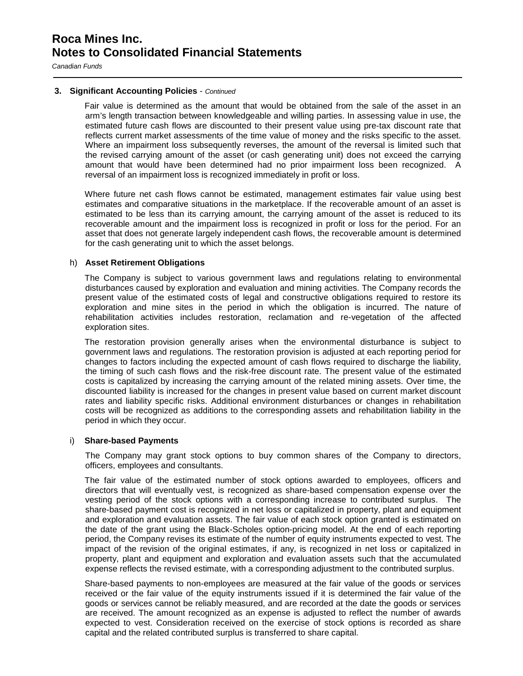*Canadian Funds*

#### **3. Significant Accounting Policies** - *Continued*

Fair value is determined as the amount that would be obtained from the sale of the asset in an arm's length transaction between knowledgeable and willing parties. In assessing value in use, the estimated future cash flows are discounted to their present value using pre-tax discount rate that reflects current market assessments of the time value of money and the risks specific to the asset. Where an impairment loss subsequently reverses, the amount of the reversal is limited such that the revised carrying amount of the asset (or cash generating unit) does not exceed the carrying amount that would have been determined had no prior impairment loss been recognized. A reversal of an impairment loss is recognized immediately in profit or loss.

Where future net cash flows cannot be estimated, management estimates fair value using best estimates and comparative situations in the marketplace. If the recoverable amount of an asset is estimated to be less than its carrying amount, the carrying amount of the asset is reduced to its recoverable amount and the impairment loss is recognized in profit or loss for the period. For an asset that does not generate largely independent cash flows, the recoverable amount is determined for the cash generating unit to which the asset belongs.

## h) **Asset Retirement Obligations**

The Company is subject to various government laws and regulations relating to environmental disturbances caused by exploration and evaluation and mining activities. The Company records the present value of the estimated costs of legal and constructive obligations required to restore its exploration and mine sites in the period in which the obligation is incurred. The nature of rehabilitation activities includes restoration, reclamation and re-vegetation of the affected exploration sites.

The restoration provision generally arises when the environmental disturbance is subject to government laws and regulations. The restoration provision is adjusted at each reporting period for changes to factors including the expected amount of cash flows required to discharge the liability, the timing of such cash flows and the risk-free discount rate. The present value of the estimated costs is capitalized by increasing the carrying amount of the related mining assets. Over time, the discounted liability is increased for the changes in present value based on current market discount rates and liability specific risks. Additional environment disturbances or changes in rehabilitation costs will be recognized as additions to the corresponding assets and rehabilitation liability in the period in which they occur.

#### i) **Share-based Payments**

The Company may grant stock options to buy common shares of the Company to directors, officers, employees and consultants.

The fair value of the estimated number of stock options awarded to employees, officers and directors that will eventually vest, is recognized as share-based compensation expense over the vesting period of the stock options with a corresponding increase to contributed surplus. The share-based payment cost is recognized in net loss or capitalized in property, plant and equipment and exploration and evaluation assets. The fair value of each stock option granted is estimated on the date of the grant using the Black-Scholes option-pricing model. At the end of each reporting period, the Company revises its estimate of the number of equity instruments expected to vest. The impact of the revision of the original estimates, if any, is recognized in net loss or capitalized in property, plant and equipment and exploration and evaluation assets such that the accumulated expense reflects the revised estimate, with a corresponding adjustment to the contributed surplus.

Share-based payments to non-employees are measured at the fair value of the goods or services received or the fair value of the equity instruments issued if it is determined the fair value of the goods or services cannot be reliably measured, and are recorded at the date the goods or services are received. The amount recognized as an expense is adjusted to reflect the number of awards expected to vest. Consideration received on the exercise of stock options is recorded as share capital and the related contributed surplus is transferred to share capital.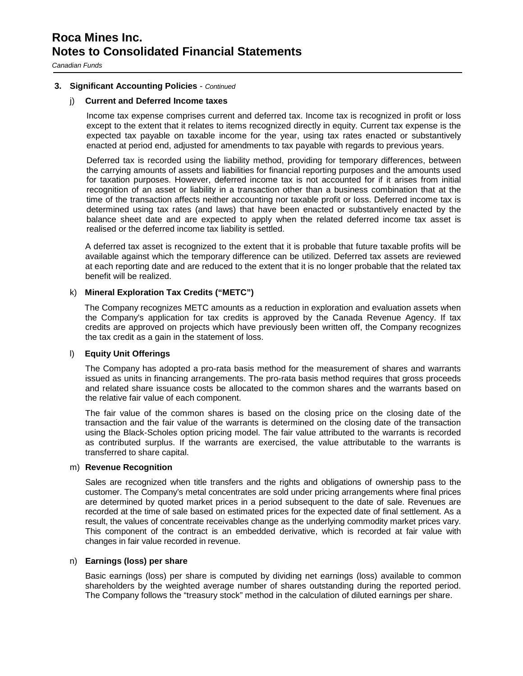*Canadian Funds*

#### **3. Significant Accounting Policies** - *Continued*

#### j) **Current and Deferred Income taxes**

Income tax expense comprises current and deferred tax. Income tax is recognized in profit or loss except to the extent that it relates to items recognized directly in equity. Current tax expense is the expected tax payable on taxable income for the year, using tax rates enacted or substantively enacted at period end, adjusted for amendments to tax payable with regards to previous years.

Deferred tax is recorded using the liability method, providing for temporary differences, between the carrying amounts of assets and liabilities for financial reporting purposes and the amounts used for taxation purposes. However, deferred income tax is not accounted for if it arises from initial recognition of an asset or liability in a transaction other than a business combination that at the time of the transaction affects neither accounting nor taxable profit or loss. Deferred income tax is determined using tax rates (and laws) that have been enacted or substantively enacted by the balance sheet date and are expected to apply when the related deferred income tax asset is realised or the deferred income tax liability is settled.

A deferred tax asset is recognized to the extent that it is probable that future taxable profits will be available against which the temporary difference can be utilized. Deferred tax assets are reviewed at each reporting date and are reduced to the extent that it is no longer probable that the related tax benefit will be realized.

## k) **Mineral Exploration Tax Credits ("METC")**

The Company recognizes METC amounts as a reduction in exploration and evaluation assets when the Company's application for tax credits is approved by the Canada Revenue Agency. If tax credits are approved on projects which have previously been written off, the Company recognizes the tax credit as a gain in the statement of loss.

## l) **Equity Unit Offerings**

The Company has adopted a pro-rata basis method for the measurement of shares and warrants issued as units in financing arrangements. The pro-rata basis method requires that gross proceeds and related share issuance costs be allocated to the common shares and the warrants based on the relative fair value of each component.

The fair value of the common shares is based on the closing price on the closing date of the transaction and the fair value of the warrants is determined on the closing date of the transaction using the Black-Scholes option pricing model. The fair value attributed to the warrants is recorded as contributed surplus. If the warrants are exercised, the value attributable to the warrants is transferred to share capital.

## m) **Revenue Recognition**

Sales are recognized when title transfers and the rights and obligations of ownership pass to the customer. The Company's metal concentrates are sold under pricing arrangements where final prices are determined by quoted market prices in a period subsequent to the date of sale. Revenues are recorded at the time of sale based on estimated prices for the expected date of final settlement. As a result, the values of concentrate receivables change as the underlying commodity market prices vary. This component of the contract is an embedded derivative, which is recorded at fair value with changes in fair value recorded in revenue.

## n) **Earnings (loss) per share**

Basic earnings (loss) per share is computed by dividing net earnings (loss) available to common shareholders by the weighted average number of shares outstanding during the reported period. The Company follows the "treasury stock" method in the calculation of diluted earnings per share.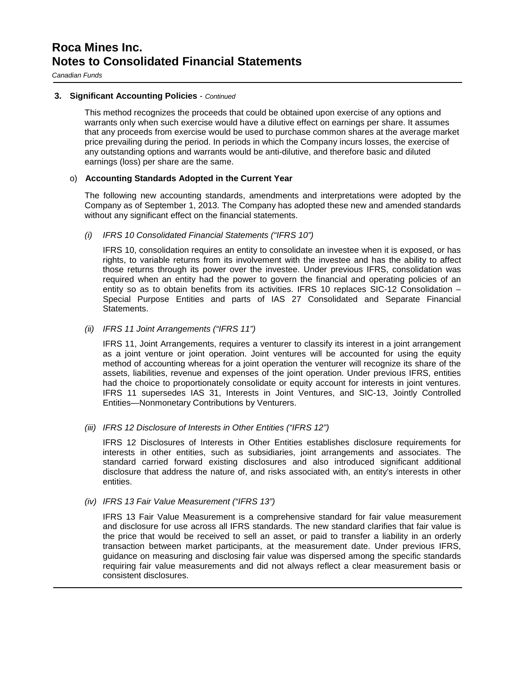*Canadian Funds*

### **3. Significant Accounting Policies** - *Continued*

This method recognizes the proceeds that could be obtained upon exercise of any options and warrants only when such exercise would have a dilutive effect on earnings per share. It assumes that any proceeds from exercise would be used to purchase common shares at the average market price prevailing during the period. In periods in which the Company incurs losses, the exercise of any outstanding options and warrants would be anti-dilutive, and therefore basic and diluted earnings (loss) per share are the same.

## o) **Accounting Standards Adopted in the Current Year**

The following new accounting standards, amendments and interpretations were adopted by the Company as of September 1, 2013. The Company has adopted these new and amended standards without any significant effect on the financial statements.

### *(i) IFRS 10 Consolidated Financial Statements ("IFRS 10")*

IFRS 10, consolidation requires an entity to consolidate an investee when it is exposed, or has rights, to variable returns from its involvement with the investee and has the ability to affect those returns through its power over the investee. Under previous IFRS, consolidation was required when an entity had the power to govern the financial and operating policies of an entity so as to obtain benefits from its activities. IFRS 10 replaces SIC-12 Consolidation – Special Purpose Entities and parts of IAS 27 Consolidated and Separate Financial Statements.

*(ii) IFRS 11 Joint Arrangements ("IFRS 11")*

IFRS 11, Joint Arrangements, requires a venturer to classify its interest in a joint arrangement as a joint venture or joint operation. Joint ventures will be accounted for using the equity method of accounting whereas for a joint operation the venturer will recognize its share of the assets, liabilities, revenue and expenses of the joint operation. Under previous IFRS, entities had the choice to proportionately consolidate or equity account for interests in joint ventures. IFRS 11 supersedes IAS 31, Interests in Joint Ventures, and SIC-13, Jointly Controlled Entities—Nonmonetary Contributions by Venturers.

## *(iii) IFRS 12 Disclosure of Interests in Other Entities ("IFRS 12")*

IFRS 12 Disclosures of Interests in Other Entities establishes disclosure requirements for interests in other entities, such as subsidiaries, joint arrangements and associates. The standard carried forward existing disclosures and also introduced significant additional disclosure that address the nature of, and risks associated with, an entity's interests in other entities.

*(iv) IFRS 13 Fair Value Measurement ("IFRS 13")*

IFRS 13 Fair Value Measurement is a comprehensive standard for fair value measurement and disclosure for use across all IFRS standards. The new standard clarifies that fair value is the price that would be received to sell an asset, or paid to transfer a liability in an orderly transaction between market participants, at the measurement date. Under previous IFRS, guidance on measuring and disclosing fair value was dispersed among the specific standards requiring fair value measurements and did not always reflect a clear measurement basis or consistent disclosures.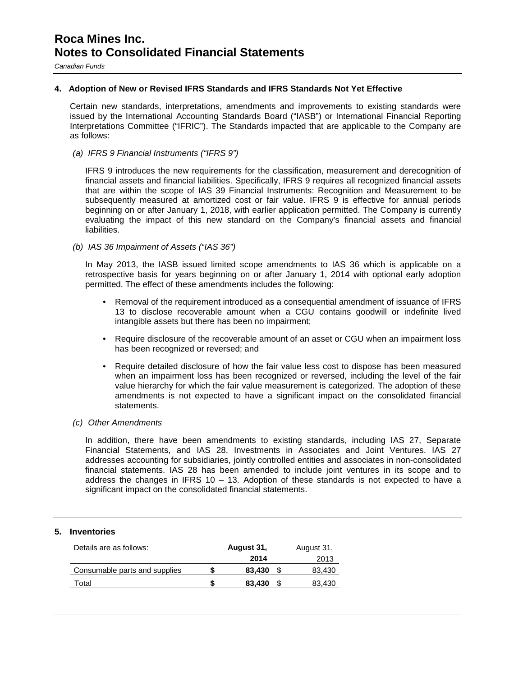*Canadian Funds*

#### **4. Adoption of New or Revised IFRS Standards and IFRS Standards Not Yet Effective**

Certain new standards, interpretations, amendments and improvements to existing standards were issued by the International Accounting Standards Board ("IASB") or International Financial Reporting Interpretations Committee ("IFRIC"). The Standards impacted that are applicable to the Company are as follows:

*(a) IFRS 9 Financial Instruments ("IFRS 9")* 

IFRS 9 introduces the new requirements for the classification, measurement and derecognition of financial assets and financial liabilities. Specifically, IFRS 9 requires all recognized financial assets that are within the scope of IAS 39 Financial Instruments: Recognition and Measurement to be subsequently measured at amortized cost or fair value. IFRS 9 is effective for annual periods beginning on or after January 1, 2018, with earlier application permitted. The Company is currently evaluating the impact of this new standard on the Company's financial assets and financial liabilities.

*(b) IAS 36 Impairment of Assets ("IAS 36")* 

In May 2013, the IASB issued limited scope amendments to IAS 36 which is applicable on a retrospective basis for years beginning on or after January 1, 2014 with optional early adoption permitted. The effect of these amendments includes the following:

- Removal of the requirement introduced as a consequential amendment of issuance of IFRS 13 to disclose recoverable amount when a CGU contains goodwill or indefinite lived intangible assets but there has been no impairment;
- Require disclosure of the recoverable amount of an asset or CGU when an impairment loss has been recognized or reversed; and
- Require detailed disclosure of how the fair value less cost to dispose has been measured when an impairment loss has been recognized or reversed, including the level of the fair value hierarchy for which the fair value measurement is categorized. The adoption of these amendments is not expected to have a significant impact on the consolidated financial statements.
- *(c) Other Amendments*

In addition, there have been amendments to existing standards, including IAS 27, Separate Financial Statements, and IAS 28, Investments in Associates and Joint Ventures. IAS 27 addresses accounting for subsidiaries, jointly controlled entities and associates in non-consolidated financial statements. IAS 28 has been amended to include joint ventures in its scope and to address the changes in IFRS  $10 - 13$ . Adoption of these standards is not expected to have a significant impact on the consolidated financial statements.

### **5. Inventories**

| Details are as follows:       | August 31, | August 31, |        |
|-------------------------------|------------|------------|--------|
|                               | 2014       |            | 2013   |
| Consumable parts and supplies | 83.430     |            | 83.430 |
| Total                         | 83.430     |            | 83.430 |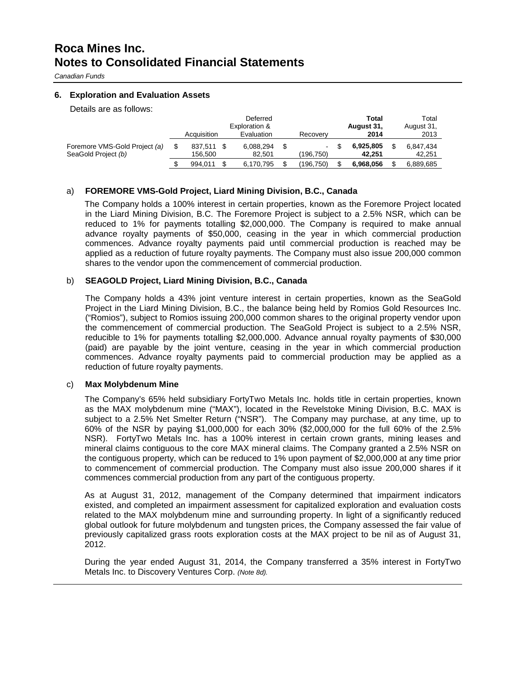*Canadian Funds*

## **6. Exploration and Evaluation Assets**

Details are as follows:

|                                                      | Acquisition           | Deferred<br>Exploration &<br>Evaluation | Recovery       | Total<br>August 31,<br>2014 | Total<br>August 31,<br>2013 |
|------------------------------------------------------|-----------------------|-----------------------------------------|----------------|-----------------------------|-----------------------------|
| Foremore VMS-Gold Project (a)<br>SeaGold Project (b) | 837.511 \$<br>156.500 | 6.088.294<br>82.501                     | ۰<br>(196.750) | 6.925.805<br>42.251         | 6.847.434<br>42.251         |
|                                                      | 994.011               | 6,170,795                               | (196,750)      | 6.968.056                   | 6,889,685                   |

## a) **FOREMORE VMS-Gold Project, Liard Mining Division, B.C., Canada**

The Company holds a 100% interest in certain properties, known as the Foremore Project located in the Liard Mining Division, B.C. The Foremore Project is subject to a 2.5% NSR, which can be reduced to 1% for payments totalling \$2,000,000. The Company is required to make annual advance royalty payments of \$50,000, ceasing in the year in which commercial production commences. Advance royalty payments paid until commercial production is reached may be applied as a reduction of future royalty payments. The Company must also issue 200,000 common shares to the vendor upon the commencement of commercial production.

### b) **SEAGOLD Project, Liard Mining Division, B.C., Canada**

The Company holds a 43% joint venture interest in certain properties, known as the SeaGold Project in the Liard Mining Division, B.C., the balance being held by Romios Gold Resources Inc. ("Romios"), subject to Romios issuing 200,000 common shares to the original property vendor upon the commencement of commercial production. The SeaGold Project is subject to a 2.5% NSR, reducible to 1% for payments totalling \$2,000,000. Advance annual royalty payments of \$30,000 (paid) are payable by the joint venture, ceasing in the year in which commercial production commences. Advance royalty payments paid to commercial production may be applied as a reduction of future royalty payments.

#### c) **Max Molybdenum Mine**

The Company's 65% held subsidiary FortyTwo Metals Inc. holds title in certain properties, known as the MAX molybdenum mine ("MAX"), located in the Revelstoke Mining Division, B.C. MAX is subject to a 2.5% Net Smelter Return ("NSR"). The Company may purchase, at any time, up to 60% of the NSR by paying \$1,000,000 for each 30% (\$2,000,000 for the full 60% of the 2.5% NSR). FortyTwo Metals Inc. has a 100% interest in certain crown grants, mining leases and mineral claims contiguous to the core MAX mineral claims. The Company granted a 2.5% NSR on the contiguous property, which can be reduced to 1% upon payment of \$2,000,000 at any time prior to commencement of commercial production. The Company must also issue 200,000 shares if it commences commercial production from any part of the contiguous property.

As at August 31, 2012, management of the Company determined that impairment indicators existed, and completed an impairment assessment for capitalized exploration and evaluation costs related to the MAX molybdenum mine and surrounding property. In light of a significantly reduced global outlook for future molybdenum and tungsten prices, the Company assessed the fair value of previously capitalized grass roots exploration costs at the MAX project to be nil as of August 31, 2012.

During the year ended August 31, 2014, the Company transferred a 35% interest in FortyTwo Metals Inc. to Discovery Ventures Corp. *(Note 8d).*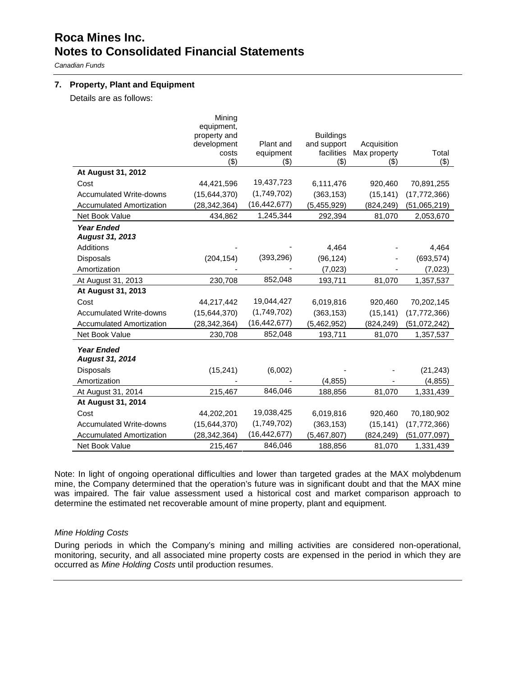*Canadian Funds*

## **7. Property, Plant and Equipment**

Details are as follows:

|                                 | Mining                      |                |                                 |              |                |
|---------------------------------|-----------------------------|----------------|---------------------------------|--------------|----------------|
|                                 | equipment,                  |                |                                 |              |                |
|                                 | property and<br>development | Plant and      | <b>Buildings</b><br>and support | Acquisition  |                |
|                                 | costs                       | equipment      | facilities                      | Max property | Total          |
|                                 | (3)                         | (3)            | (3)                             | $($ \$)      | (3)            |
| At August 31, 2012              |                             |                |                                 |              |                |
| Cost                            | 44,421,596                  | 19,437,723     | 6,111,476                       | 920,460      | 70,891,255     |
| <b>Accumulated Write-downs</b>  | (15,644,370)                | (1,749,702)    | (363, 153)                      | (15, 141)    | (17, 772, 366) |
| <b>Accumulated Amortization</b> | (28, 342, 364)              | (16, 442, 677) | (5,455,929)                     | (824, 249)   | (51,065,219)   |
| Net Book Value                  | 434,862                     | 1,245,344      | 292,394                         | 81,070       | 2,053,670      |
| <b>Year Ended</b>               |                             |                |                                 |              |                |
| <b>August 31, 2013</b>          |                             |                |                                 |              |                |
| Additions                       |                             |                | 4,464                           |              | 4,464          |
| <b>Disposals</b>                | (204, 154)                  | (393, 296)     | (96, 124)                       |              | (693, 574)     |
| Amortization                    |                             |                | (7,023)                         |              | (7,023)        |
| At August 31, 2013              | 230,708                     | 852,048        | 193,711                         | 81,070       | 1,357,537      |
| At August 31, 2013              |                             |                |                                 |              |                |
| Cost                            | 44,217,442                  | 19,044,427     | 6,019,816                       | 920,460      | 70,202,145     |
| <b>Accumulated Write-downs</b>  | (15, 644, 370)              | (1,749,702)    | (363, 153)                      | (15, 141)    | (17, 772, 366) |
| <b>Accumulated Amortization</b> | (28, 342, 364)              | (16, 442, 677) | (5,462,952)                     | (824, 249)   | (51,072,242)   |
| Net Book Value                  | 230,708                     | 852,048        | 193,711                         | 81,070       | 1,357,537      |
| <b>Year Ended</b>               |                             |                |                                 |              |                |
| <b>August 31, 2014</b>          |                             |                |                                 |              |                |
| <b>Disposals</b>                | (15, 241)                   | (6,002)        |                                 |              | (21, 243)      |
| Amortization                    |                             |                | (4, 855)                        |              | (4, 855)       |
| At August 31, 2014              | 215,467                     | 846,046        | 188,856                         | 81,070       | 1,331,439      |
| At August 31, 2014              |                             |                |                                 |              |                |
| Cost                            | 44,202,201                  | 19,038,425     | 6,019,816                       | 920,460      | 70,180,902     |
| Accumulated Write-downs         | (15, 644, 370)              | (1,749,702)    | (363, 153)                      | (15, 141)    | (17, 772, 366) |
| <b>Accumulated Amortization</b> | (28,342,364)                | (16, 442, 677) | (5,467,807)                     | (824,249)    | (51,077,097)   |
| Net Book Value                  | 215,467                     | 846,046        | 188,856                         | 81,070       | 1,331,439      |

Note: In light of ongoing operational difficulties and lower than targeted grades at the MAX molybdenum mine, the Company determined that the operation's future was in significant doubt and that the MAX mine was impaired. The fair value assessment used a historical cost and market comparison approach to determine the estimated net recoverable amount of mine property, plant and equipment.

## *Mine Holding Costs*

During periods in which the Company's mining and milling activities are considered non-operational, monitoring, security, and all associated mine property costs are expensed in the period in which they are occurred as *Mine Holding Costs* until production resumes.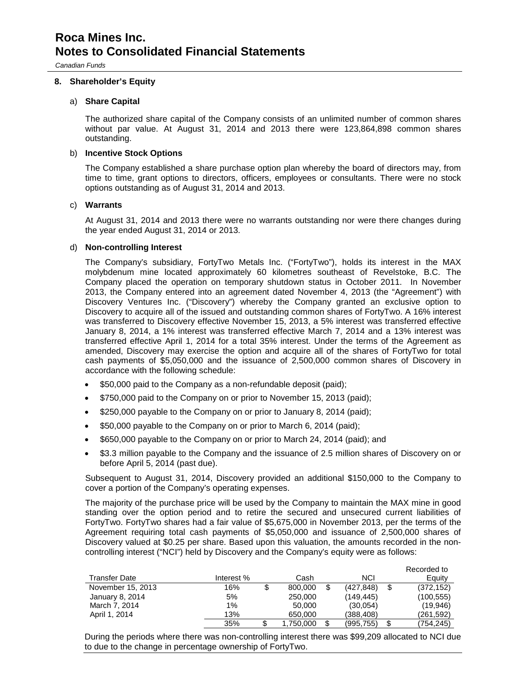*Canadian Funds*

## **8. Shareholder's Equity**

## a) **Share Capital**

The authorized share capital of the Company consists of an unlimited number of common shares without par value. At August 31, 2014 and 2013 there were 123,864,898 common shares outstanding.

## b) **Incentive Stock Options**

The Company established a share purchase option plan whereby the board of directors may, from time to time, grant options to directors, officers, employees or consultants. There were no stock options outstanding as of August 31, 2014 and 2013.

### c) **Warrants**

At August 31, 2014 and 2013 there were no warrants outstanding nor were there changes during the year ended August 31, 2014 or 2013.

### d) **Non-controlling Interest**

The Company's subsidiary, FortyTwo Metals Inc. ("FortyTwo"), holds its interest in the MAX molybdenum mine located approximately 60 kilometres southeast of Revelstoke, B.C. The Company placed the operation on temporary shutdown status in October 2011. In November 2013, the Company entered into an agreement dated November 4, 2013 (the "Agreement") with Discovery Ventures Inc. ("Discovery") whereby the Company granted an exclusive option to Discovery to acquire all of the issued and outstanding common shares of FortyTwo. A 16% interest was transferred to Discovery effective November 15, 2013, a 5% interest was transferred effective January 8, 2014, a 1% interest was transferred effective March 7, 2014 and a 13% interest was transferred effective April 1, 2014 for a total 35% interest. Under the terms of the Agreement as amended, Discovery may exercise the option and acquire all of the shares of FortyTwo for total cash payments of \$5,050,000 and the issuance of 2,500,000 common shares of Discovery in accordance with the following schedule:

- \$50,000 paid to the Company as a non-refundable deposit (paid);
- \$750,000 paid to the Company on or prior to November 15, 2013 (paid);
- \$250,000 payable to the Company on or prior to January 8, 2014 (paid);
- \$50,000 payable to the Company on or prior to March 6, 2014 (paid);
- \$650,000 payable to the Company on or prior to March 24, 2014 (paid); and
- \$3.3 million payable to the Company and the issuance of 2.5 million shares of Discovery on or before April 5, 2014 (past due).

Subsequent to August 31, 2014, Discovery provided an additional \$150,000 to the Company to cover a portion of the Company's operating expenses.

The majority of the purchase price will be used by the Company to maintain the MAX mine in good standing over the option period and to retire the secured and unsecured current liabilities of FortyTwo. FortyTwo shares had a fair value of \$5,675,000 in November 2013, per the terms of the Agreement requiring total cash payments of \$5,050,000 and issuance of 2,500,000 shares of Discovery valued at \$0.25 per share. Based upon this valuation, the amounts recorded in the noncontrolling interest ("NCI") held by Discovery and the Company's equity were as follows:

|                   |            |                 |            | Recorded to      |
|-------------------|------------|-----------------|------------|------------------|
| Transfer Date     | Interest % | Cash            | <b>NCI</b> | Equity           |
| November 15, 2013 | 16%        | 800,000         | (427, 848) | \$<br>(372, 152) |
| January 8, 2014   | 5%         | 250,000         | (149.445)  | (100, 555)       |
| March 7, 2014     | $1\%$      | 50,000          | (30,054)   | (19,946)         |
| April 1, 2014     | 13%        | 650,000         | (388,408)  | (261, 592)       |
|                   | 35%        | \$<br>1,750,000 | (995, 755) | (754,245)        |

During the periods where there was non-controlling interest there was \$99,209 allocated to NCI due to due to the change in percentage ownership of FortyTwo.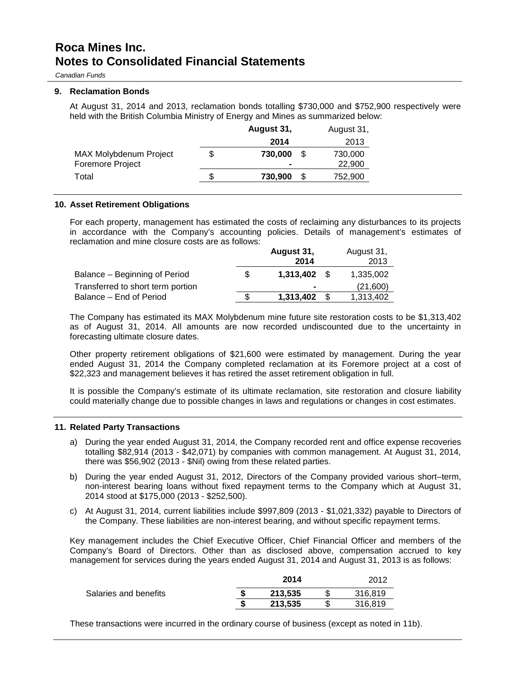*Canadian Funds*

#### **9. Reclamation Bonds**

At August 31, 2014 and 2013, reclamation bonds totalling \$730,000 and \$752,900 respectively were held with the British Columbia Ministry of Energy and Mines as summarized below:

|                         |   | August 31,     |    | August 31, |
|-------------------------|---|----------------|----|------------|
|                         |   | 2014           |    | 2013       |
| MAX Molybdenum Project  | S | 730,000        | £. | 730,000    |
| <b>Foremore Project</b> |   | $\blacksquare$ |    | 22,900     |
| Total                   | S | 730,900        |    | 752,900    |

#### **10. Asset Retirement Obligations**

For each property, management has estimated the costs of reclaiming any disturbances to its projects in accordance with the Company's accounting policies. Details of management's estimates of reclamation and mine closure costs are as follows:

|                                   |     | August 31,<br>2014 | August 31,<br>2013 |
|-----------------------------------|-----|--------------------|--------------------|
| Balance – Beginning of Period     | \$. | $1.313.402$ \$     | 1,335,002          |
| Transferred to short term portion |     | $\blacksquare$     | (21,600)           |
| Balance – End of Period           | S   | 1,313,402          | 1,313,402          |

The Company has estimated its MAX Molybdenum mine future site restoration costs to be \$1,313,402 as of August 31, 2014. All amounts are now recorded undiscounted due to the uncertainty in forecasting ultimate closure dates.

Other property retirement obligations of \$21,600 were estimated by management. During the year ended August 31, 2014 the Company completed reclamation at its Foremore project at a cost of \$22,323 and management believes it has retired the asset retirement obligation in full.

It is possible the Company's estimate of its ultimate reclamation, site restoration and closure liability could materially change due to possible changes in laws and regulations or changes in cost estimates.

### **11. Related Party Transactions**

- a) During the year ended August 31, 2014, the Company recorded rent and office expense recoveries totalling \$82,914 (2013 - \$42,071) by companies with common management. At August 31, 2014, there was \$56,902 (2013 - \$Nil) owing from these related parties.
- b) During the year ended August 31, 2012, Directors of the Company provided various short–term, non-interest bearing loans without fixed repayment terms to the Company which at August 31, 2014 stood at \$175,000 (2013 - \$252,500).
- c) At August 31, 2014, current liabilities include \$997,809 (2013 \$1,021,332) payable to Directors of the Company. These liabilities are non-interest bearing, and without specific repayment terms.

Key management includes the Chief Executive Officer, Chief Financial Officer and members of the Company's Board of Directors. Other than as disclosed above, compensation accrued to key management for services during the years ended August 31, 2014 and August 31, 2013 is as follows:

|                       | 2014    | 2012    |
|-----------------------|---------|---------|
| Salaries and benefits | 213.535 | 316.819 |
|                       | 213.535 | 316,819 |

These transactions were incurred in the ordinary course of business (except as noted in 11b).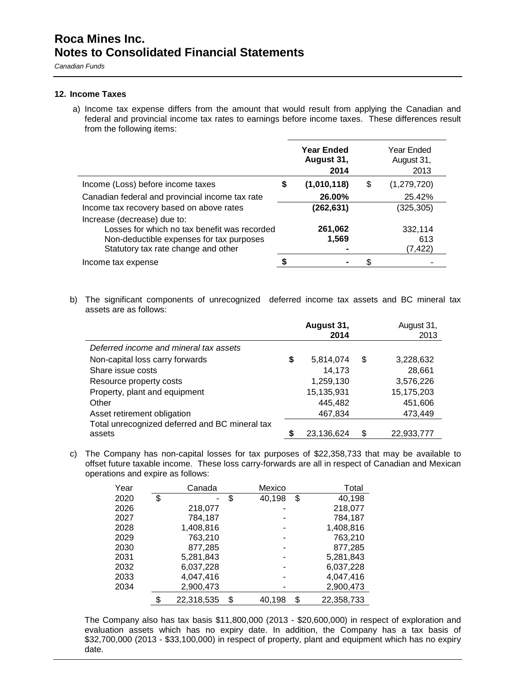*Canadian Funds*

#### **12. Income Taxes**

a) Income tax expense differs from the amount that would result from applying the Canadian and federal and provincial income tax rates to earnings before income taxes. These differences result from the following items:

|                                                                                                                                                                | <b>Year Ended</b><br>August 31,<br>2014 |    | Year Ended<br>August 31,<br>2013 |
|----------------------------------------------------------------------------------------------------------------------------------------------------------------|-----------------------------------------|----|----------------------------------|
| Income (Loss) before income taxes                                                                                                                              | \$<br>(1,010,118)                       | \$ | (1,279,720)                      |
| Canadian federal and provincial income tax rate                                                                                                                | 26.00%                                  |    | 25.42%                           |
| Income tax recovery based on above rates                                                                                                                       | (262, 631)                              |    | (325, 305)                       |
| Increase (decrease) due to:<br>Losses for which no tax benefit was recorded<br>Non-deductible expenses for tax purposes<br>Statutory tax rate change and other | 261,062<br>1,569                        |    | 332,114<br>613<br>(7, 422)       |
| Income tax expense                                                                                                                                             |                                         | S. |                                  |

b) The significant components of unrecognized deferred income tax assets and BC mineral tax assets are as follows:

|                                                |   | August 31,<br>2014 | August 31,<br>2013 |
|------------------------------------------------|---|--------------------|--------------------|
| Deferred income and mineral tax assets         |   |                    |                    |
| Non-capital loss carry forwards                | S | 5,814,074          | \$<br>3,228,632    |
| Share issue costs                              |   | 14,173             | 28,661             |
| Resource property costs                        |   | 1,259,130          | 3,576,226          |
| Property, plant and equipment                  |   | 15,135,931         | 15,175,203         |
| Other                                          |   | 445,482            | 451,606            |
| Asset retirement obligation                    |   | 467,834            | 473,449            |
| Total unrecognized deferred and BC mineral tax |   |                    |                    |
| assets                                         |   | 23,136,624         | \$<br>22,933,777   |

c) The Company has non-capital losses for tax purposes of \$22,358,733 that may be available to offset future taxable income. These loss carry-forwards are all in respect of Canadian and Mexican operations and expire as follows:

| Year | Canada           | Mexico       | Total            |
|------|------------------|--------------|------------------|
| 2020 | \$               | \$<br>40,198 | \$<br>40,198     |
| 2026 | 218,077          |              | 218,077          |
| 2027 | 784,187          |              | 784,187          |
| 2028 | 1,408,816        |              | 1,408,816        |
| 2029 | 763,210          |              | 763,210          |
| 2030 | 877,285          |              | 877,285          |
| 2031 | 5,281,843        |              | 5,281,843        |
| 2032 | 6,037,228        |              | 6,037,228        |
| 2033 | 4,047,416        |              | 4,047,416        |
| 2034 | 2,900,473        |              | 2,900,473        |
|      | \$<br>22,318,535 | \$<br>40.198 | \$<br>22,358,733 |

The Company also has tax basis \$11,800,000 (2013 - \$20,600,000) in respect of exploration and evaluation assets which has no expiry date. In addition, the Company has a tax basis of \$32,700,000 (2013 - \$33,100,000) in respect of property, plant and equipment which has no expiry date.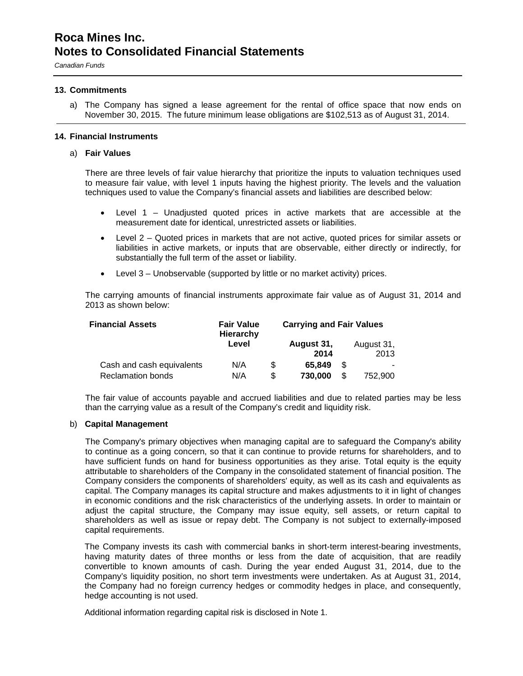*Canadian Funds*

### **13. Commitments**

a) The Company has signed a lease agreement for the rental of office space that now ends on November 30, 2015. The future minimum lease obligations are \$102,513 as of August 31, 2014.

## **14. Financial Instruments**

#### a) **Fair Values**

There are three levels of fair value hierarchy that prioritize the inputs to valuation techniques used to measure fair value, with level 1 inputs having the highest priority. The levels and the valuation techniques used to value the Company's financial assets and liabilities are described below:

- Level 1 Unadjusted quoted prices in active markets that are accessible at the measurement date for identical, unrestricted assets or liabilities.
- Level 2 Quoted prices in markets that are not active, quoted prices for similar assets or liabilities in active markets, or inputs that are observable, either directly or indirectly, for substantially the full term of the asset or liability.
- Level 3 Unobservable (supported by little or no market activity) prices.

The carrying amounts of financial instruments approximate fair value as of August 31, 2014 and 2013 as shown below:

| <b>Financial Assets</b>   | <b>Fair Value</b><br>Hierarchy | <b>Carrying and Fair Values</b> |                    |     |                    |  |  |
|---------------------------|--------------------------------|---------------------------------|--------------------|-----|--------------------|--|--|
|                           | Level                          |                                 | August 31,<br>2014 |     | August 31,<br>2013 |  |  |
| Cash and cash equivalents | N/A                            | S                               | 65,849             | \$. |                    |  |  |
| <b>Reclamation bonds</b>  | N/A                            | S                               | 730,000            | \$  | 752.900            |  |  |

The fair value of accounts payable and accrued liabilities and due to related parties may be less than the carrying value as a result of the Company's credit and liquidity risk.

#### b) **Capital Management**

The Company's primary objectives when managing capital are to safeguard the Company's ability to continue as a going concern, so that it can continue to provide returns for shareholders, and to have sufficient funds on hand for business opportunities as they arise. Total equity is the equity attributable to shareholders of the Company in the consolidated statement of financial position. The Company considers the components of shareholders' equity, as well as its cash and equivalents as capital. The Company manages its capital structure and makes adjustments to it in light of changes in economic conditions and the risk characteristics of the underlying assets. In order to maintain or adjust the capital structure, the Company may issue equity, sell assets, or return capital to shareholders as well as issue or repay debt. The Company is not subject to externally-imposed capital requirements.

The Company invests its cash with commercial banks in short-term interest-bearing investments, having maturity dates of three months or less from the date of acquisition, that are readily convertible to known amounts of cash. During the year ended August 31, 2014, due to the Company's liquidity position, no short term investments were undertaken. As at August 31, 2014, the Company had no foreign currency hedges or commodity hedges in place, and consequently, hedge accounting is not used.

Additional information regarding capital risk is disclosed in Note 1.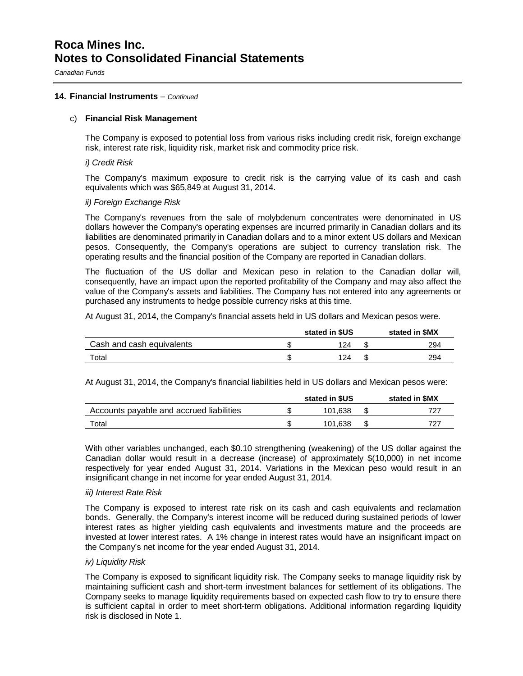*Canadian Funds*

#### **14. Financial Instruments** – *Continued*

#### c) **Financial Risk Management**

The Company is exposed to potential loss from various risks including credit risk, foreign exchange risk, interest rate risk, liquidity risk, market risk and commodity price risk.

#### *i) Credit Risk*

The Company's maximum exposure to credit risk is the carrying value of its cash and cash equivalents which was \$65,849 at August 31, 2014.

#### *ii) Foreign Exchange Risk*

The Company's revenues from the sale of molybdenum concentrates were denominated in US dollars however the Company's operating expenses are incurred primarily in Canadian dollars and its liabilities are denominated primarily in Canadian dollars and to a minor extent US dollars and Mexican pesos. Consequently, the Company's operations are subject to currency translation risk. The operating results and the financial position of the Company are reported in Canadian dollars.

The fluctuation of the US dollar and Mexican peso in relation to the Canadian dollar will, consequently, have an impact upon the reported profitability of the Company and may also affect the value of the Company's assets and liabilities. The Company has not entered into any agreements or purchased any instruments to hedge possible currency risks at this time.

At August 31, 2014, the Company's financial assets held in US dollars and Mexican pesos were.

|                           | stated in \$US | stated in \$MX |
|---------------------------|----------------|----------------|
| Cash and cash equivalents | 124            | 294            |
| $\tau$ otal               | 124            | 294            |

At August 31, 2014, the Company's financial liabilities held in US dollars and Mexican pesos were:

|                                          | stated in \$US | stated in \$MX |
|------------------------------------------|----------------|----------------|
| Accounts payable and accrued liabilities | 101.638        |                |
| Total                                    | 101.638        | 797            |

With other variables unchanged, each \$0.10 strengthening (weakening) of the US dollar against the Canadian dollar would result in a decrease (increase) of approximately \$(10,000) in net income respectively for year ended August 31, 2014. Variations in the Mexican peso would result in an insignificant change in net income for year ended August 31, 2014.

#### *iii) Interest Rate Risk*

The Company is exposed to interest rate risk on its cash and cash equivalents and reclamation bonds. Generally, the Company's interest income will be reduced during sustained periods of lower interest rates as higher yielding cash equivalents and investments mature and the proceeds are invested at lower interest rates. A 1% change in interest rates would have an insignificant impact on the Company's net income for the year ended August 31, 2014.

#### *iv) Liquidity Risk*

The Company is exposed to significant liquidity risk. The Company seeks to manage liquidity risk by maintaining sufficient cash and short-term investment balances for settlement of its obligations. The Company seeks to manage liquidity requirements based on expected cash flow to try to ensure there is sufficient capital in order to meet short-term obligations. Additional information regarding liquidity risk is disclosed in Note 1.